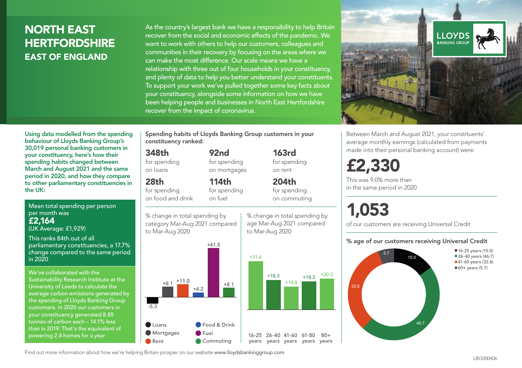## NORTH EAST **HERTFORDSHIRE** EAST OF ENGLAND

As the country's largest bank we have a responsibility to help Britain recover from the social and economic effects of the pandemic. We want to work with others to help our customers, colleagues and communities in their recovery by focusing on the areas where we can make the most difference. Our scale means we have a relationship with three out of four households in your constituency, and plenty of data to help you better understand your constituents. To support your work we've pulled together some key facts about your constituency, alongside some information on how we have been helping people and businesses in North East Hertfordshire recover from the impact of coronavirus.



Between March and August 2021, your constituents' average monthly earnings (calculated from payments made into their personal banking account) were:

## £2,330

This was 9.0% more than in the same period in 2020

# 1,053

of our customers are receiving Universal Credit

#### % age of our customers receiving Universal Credit



• 16-25 years (15.0) • 26-40 years (46.7) •41-60 years (32.6)  $•60+ years (5.7)$ 

Using data modelled from the spending behaviour of Lloyds Banking Group's 30,019 personal banking customers in your constituency, here's how their spending habits changed between March and August 2021 and the same period in 2020, and how they compare to other parliamentary constituencies in the UK:

Mean total spending per person per month was £2,164 (UK Average: £1,929)

This ranks 84th out of all parliamentary constituencies, a 17.7% change compared to the same period in 2020

We've collaborated with the Sustainability Research Institute at the University of Leeds to calculate the average carbon emissions generated by the spending of Lloyds Banking Group customers. In 2020 our customers in your constituency generated 8.85 tonnes of carbon each – 14.1% less than in 2019. That's the equivalent of powering 2.4 homes for a year

Spending habits of Lloyds Banking Group customers in your constituency ranked:

> 92nd for spending on mortgages

114th

#### 348th

for spending on loans

28th

for spending on food and drink for spending on fuel

% change in total spending by category Mar-Aug 2021 compared to Mar-Aug 2020



% change in total spending by age Mar-Aug 2021 compared to Mar-Aug 2020

163rd for spending on rent

204th for spending on commuting

 $+18.3$   $+20.2$ 

 $80+$